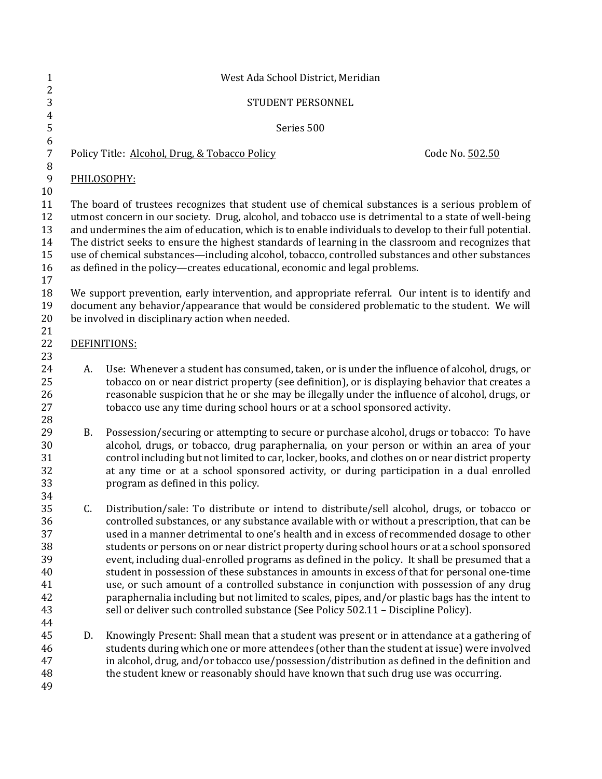| $\mathbf{1}$                                             | West Ada School District, Meridian                                                                                                                                                                                                                                                                                                                                                                                                                                                                                                                                                                             |                                                                                                                                                                                                                                                                                                                                                                                                                                                                                                                                                                                                                                                                                                                                                                                                                                                                                  |                 |  |
|----------------------------------------------------------|----------------------------------------------------------------------------------------------------------------------------------------------------------------------------------------------------------------------------------------------------------------------------------------------------------------------------------------------------------------------------------------------------------------------------------------------------------------------------------------------------------------------------------------------------------------------------------------------------------------|----------------------------------------------------------------------------------------------------------------------------------------------------------------------------------------------------------------------------------------------------------------------------------------------------------------------------------------------------------------------------------------------------------------------------------------------------------------------------------------------------------------------------------------------------------------------------------------------------------------------------------------------------------------------------------------------------------------------------------------------------------------------------------------------------------------------------------------------------------------------------------|-----------------|--|
| $\sqrt{2}$<br>3                                          |                                                                                                                                                                                                                                                                                                                                                                                                                                                                                                                                                                                                                | STUDENT PERSONNEL                                                                                                                                                                                                                                                                                                                                                                                                                                                                                                                                                                                                                                                                                                                                                                                                                                                                |                 |  |
| $\overline{4}$<br>5                                      | Series 500                                                                                                                                                                                                                                                                                                                                                                                                                                                                                                                                                                                                     |                                                                                                                                                                                                                                                                                                                                                                                                                                                                                                                                                                                                                                                                                                                                                                                                                                                                                  |                 |  |
| $\boldsymbol{6}$<br>$\sqrt{ }$<br>$\, 8$                 |                                                                                                                                                                                                                                                                                                                                                                                                                                                                                                                                                                                                                | Policy Title: Alcohol, Drug, & Tobacco Policy                                                                                                                                                                                                                                                                                                                                                                                                                                                                                                                                                                                                                                                                                                                                                                                                                                    | Code No. 502.50 |  |
| $\boldsymbol{9}$<br>$10\,$                               |                                                                                                                                                                                                                                                                                                                                                                                                                                                                                                                                                                                                                | PHILOSOPHY:                                                                                                                                                                                                                                                                                                                                                                                                                                                                                                                                                                                                                                                                                                                                                                                                                                                                      |                 |  |
| 11<br>12<br>13<br>14<br>15<br>16<br>17                   | The board of trustees recognizes that student use of chemical substances is a serious problem of<br>utmost concern in our society. Drug, alcohol, and tobacco use is detrimental to a state of well-being<br>and undermines the aim of education, which is to enable individuals to develop to their full potential.<br>The district seeks to ensure the highest standards of learning in the classroom and recognizes that<br>use of chemical substances—including alcohol, tobacco, controlled substances and other substances<br>as defined in the policy-creates educational, economic and legal problems. |                                                                                                                                                                                                                                                                                                                                                                                                                                                                                                                                                                                                                                                                                                                                                                                                                                                                                  |                 |  |
| 18<br>19<br>20                                           | We support prevention, early intervention, and appropriate referral. Our intent is to identify and<br>document any behavior/appearance that would be considered problematic to the student. We will<br>be involved in disciplinary action when needed.                                                                                                                                                                                                                                                                                                                                                         |                                                                                                                                                                                                                                                                                                                                                                                                                                                                                                                                                                                                                                                                                                                                                                                                                                                                                  |                 |  |
| 21<br>22                                                 | DEFINITIONS:                                                                                                                                                                                                                                                                                                                                                                                                                                                                                                                                                                                                   |                                                                                                                                                                                                                                                                                                                                                                                                                                                                                                                                                                                                                                                                                                                                                                                                                                                                                  |                 |  |
| 23<br>24<br>25<br>26<br>27                               | A.                                                                                                                                                                                                                                                                                                                                                                                                                                                                                                                                                                                                             | Use: Whenever a student has consumed, taken, or is under the influence of alcohol, drugs, or<br>tobacco on or near district property (see definition), or is displaying behavior that creates a<br>reasonable suspicion that he or she may be illegally under the influence of alcohol, drugs, or<br>tobacco use any time during school hours or at a school sponsored activity.                                                                                                                                                                                                                                                                                                                                                                                                                                                                                                 |                 |  |
| 28<br>29<br>30<br>31<br>32<br>33<br>34                   | <b>B.</b>                                                                                                                                                                                                                                                                                                                                                                                                                                                                                                                                                                                                      | Possession/securing or attempting to secure or purchase alcohol, drugs or tobacco: To have<br>alcohol, drugs, or tobacco, drug paraphernalia, on your person or within an area of your<br>control including but not limited to car, locker, books, and clothes on or near district property<br>at any time or at a school sponsored activity, or during participation in a dual enrolled<br>program as defined in this policy.                                                                                                                                                                                                                                                                                                                                                                                                                                                   |                 |  |
| 35<br>36<br>37<br>38<br>39<br>40<br>41<br>42<br>43<br>44 | C.                                                                                                                                                                                                                                                                                                                                                                                                                                                                                                                                                                                                             | Distribution/sale: To distribute or intend to distribute/sell alcohol, drugs, or tobacco or<br>controlled substances, or any substance available with or without a prescription, that can be<br>used in a manner detrimental to one's health and in excess of recommended dosage to other<br>students or persons on or near district property during school hours or at a school sponsored<br>event, including dual-enrolled programs as defined in the policy. It shall be presumed that a<br>student in possession of these substances in amounts in excess of that for personal one-time<br>use, or such amount of a controlled substance in conjunction with possession of any drug<br>paraphernalia including but not limited to scales, pipes, and/or plastic bags has the intent to<br>sell or deliver such controlled substance (See Policy 502.11 - Discipline Policy). |                 |  |
| 45<br>46<br>47<br>48<br>49                               | D.                                                                                                                                                                                                                                                                                                                                                                                                                                                                                                                                                                                                             | Knowingly Present: Shall mean that a student was present or in attendance at a gathering of<br>students during which one or more attendees (other than the student at issue) were involved<br>in alcohol, drug, and/or tobacco use/possession/distribution as defined in the definition and<br>the student knew or reasonably should have known that such drug use was occurring.                                                                                                                                                                                                                                                                                                                                                                                                                                                                                                |                 |  |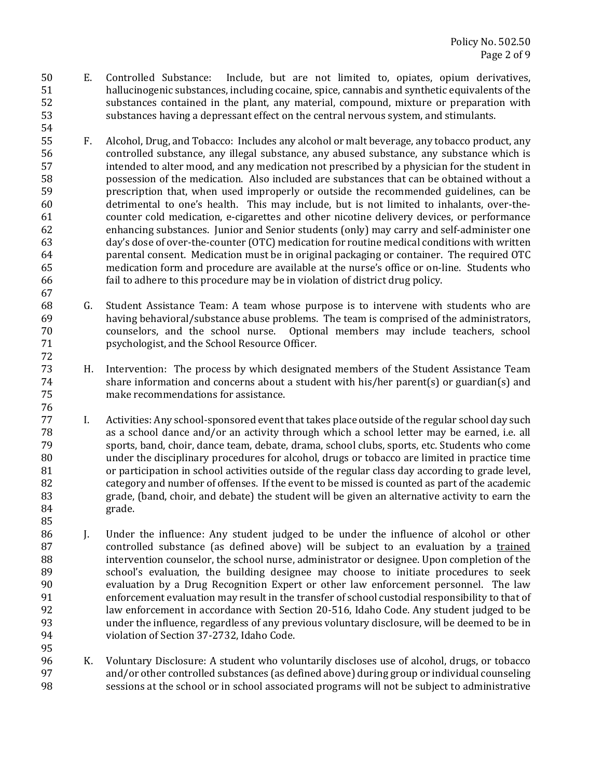50 E. Controlled Substance: Include, but are not limited to, opiates, opium derivatives, 51 hallucinogenic substances, including cocaine, spice, cannabis and synthetic equivalents of the 52 substances contained in the plant, any material, compound, mixture or preparation with 53 substances having a depressant effect on the central nervous system, and stimulants.

54 

67 

76 

85 

- 55 F. Alcohol, Drug, and Tobacco: Includes any alcohol or malt beverage, any tobacco product, any 56 controlled substance, any illegal substance, any abused substance, any substance which is 57 intended to alter mood, and any medication not prescribed by a physician for the student in 58 bossession of the medication. Also included are substances that can be obtained without a 59 **prescription that, when used improperly** or outside the recommended guidelines, can be 60 detrimental to one's health. This may include, but is not limited to inhalants, over-the-61 counter cold medication, e-cigarettes and other nicotine delivery devices, or performance 62 enhancing substances. Junior and Senior students (only) may carry and self-administer one 63 day's dose of over-the-counter (OTC) medication for routine medical conditions with written 64 **parental consent.** Medication must be in original packaging or container. The required OTC 65 medication form and procedure are available at the nurse's office or on-line. Students who 66 fail to adhere to this procedure may be in violation of district drug policy.
- 68 G. Student Assistance Team: A team whose purpose is to intervene with students who are 69 having behavioral/substance abuse problems. The team is comprised of the administrators, 70 counselors, and the school nurse. Optional members may include teachers, school 71 **psychologist, and the School Resource Officer.** 72
- 73 H. Intervention: The process by which designated members of the Student Assistance Team  $74$  share information and concerns about a student with his/her parent(s) or guardian(s) and 75 make recommendations for assistance.
- 77 I. Activities: Any school-sponsored event that takes place outside of the regular school day such 78 as a school dance and/or an activity through which a school letter may be earned, i.e. all 79 sports, band, choir, dance team, debate, drama, school clubs, sports, etc. Students who come 80 under the disciplinary procedures for alcohol, drugs or tobacco are limited in practice time 81 or participation in school activities outside of the regular class day according to grade level, 82 category and number of offenses. If the event to be missed is counted as part of the academic 83 state, (band, choir, and debate) the student will be given an alternative activity to earn the 84 grade.
- 86 J. Under the influence: Any student judged to be under the influence of alcohol or other 87 controlled substance (as defined above) will be subject to an evaluation by a trained 88 intervention counselor, the school nurse, administrator or designee. Upon completion of the 89 school's evaluation, the building designee may choose to initiate procedures to seek 90 evaluation by a Drug Recognition Expert or other law enforcement personnel. The law 91 enforcement evaluation may result in the transfer of school custodial responsibility to that of 92 law enforcement in accordance with Section 20-516, Idaho Code. Any student judged to be 93 under the influence, regardless of any previous voluntary disclosure, will be deemed to be in 94 violation of Section 37-2732, Idaho Code. 95
- 96 K. Voluntary Disclosure: A student who voluntarily discloses use of alcohol, drugs, or tobacco 97 and/or other controlled substances (as defined above) during group or individual counseling 98 sessions at the school or in school associated programs will not be subject to administrative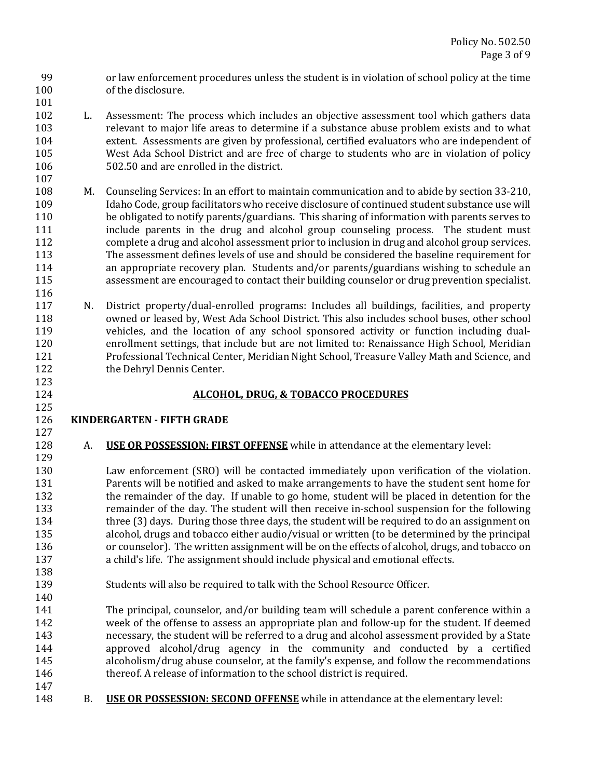99 or law enforcement procedures unless the student is in violation of school policy at the time 100 of the disclosure. 101 

- 102 L. Assessment: The process which includes an objective assessment tool which gathers data 103 relevant to major life areas to determine if a substance abuse problem exists and to what 104 extent. Assessments are given by professional, certified evaluators who are independent of 105 West Ada School District and are free of charge to students who are in violation of policy 106 502.50 and are enrolled in the district.
- 108 M. Counseling Services: In an effort to maintain communication and to abide by section 33-210, 109 Idaho Code, group facilitators who receive disclosure of continued student substance use will 110 be obligated to notify parents/guardians. This sharing of information with parents serves to 111 **include** parents in the drug and alcohol group counseling process. The student must 112 complete a drug and alcohol assessment prior to inclusion in drug and alcohol group services. 113 The assessment defines levels of use and should be considered the baseline requirement for 114 **an** appropriate recovery plan. Students and/or parents/guardians wishing to schedule an 115 assessment are encouraged to contact their building counselor or drug prevention specialist.
- 117 N. District property/dual-enrolled programs: Includes all buildings, facilities, and property 118 owned or leased by, West Ada School District. This also includes school buses, other school 119 vehicles, and the location of any school sponsored activity or function including dual-120 enrollment settings, that include but are not limited to: Renaissance High School, Meridian 121 Professional Technical Center, Meridian Night School, Treasure Valley Math and Science, and 122 the Dehryl Dennis Center.

# 124 **ALCOHOL, DRUG, & TOBACCO PROCEDURES**

#### 126 **KINDERGARTEN** - FIFTH GRADE 127

107 

116 

123 

125 

129 

138 

140 

128 A. **USE OR POSSESSION: FIRST OFFENSE** while in attendance at the elementary level:

130 Law enforcement (SRO) will be contacted immediately upon verification of the violation. 131 Parents will be notified and asked to make arrangements to have the student sent home for 132 the remainder of the day. If unable to go home, student will be placed in detention for the 133 remainder of the day. The student will then receive in-school suspension for the following 134 three (3) days. During those three days, the student will be required to do an assignment on 135 alcohol, drugs and tobacco either audio/visual or written (to be determined by the principal 136 or counselor). The written assignment will be on the effects of alcohol, drugs, and tobacco on 137 **a** child's life. The assignment should include physical and emotional effects.

- 139 Students will also be required to talk with the School Resource Officer.
- 141 The principal, counselor, and/or building team will schedule a parent conference within a 142 week of the offense to assess an appropriate plan and follow-up for the student. If deemed 143 hecessary, the student will be referred to a drug and alcohol assessment provided by a State 144 **approved** alcohol/drug agency in the community and conducted by a certified 145 alcoholism/drug abuse counselor, at the family's expense, and follow the recommendations 146 **thereof.** A release of information to the school district is required.
- 147 148 B. **USE OR POSSESSION: SECOND OFFENSE** while in attendance at the elementary level: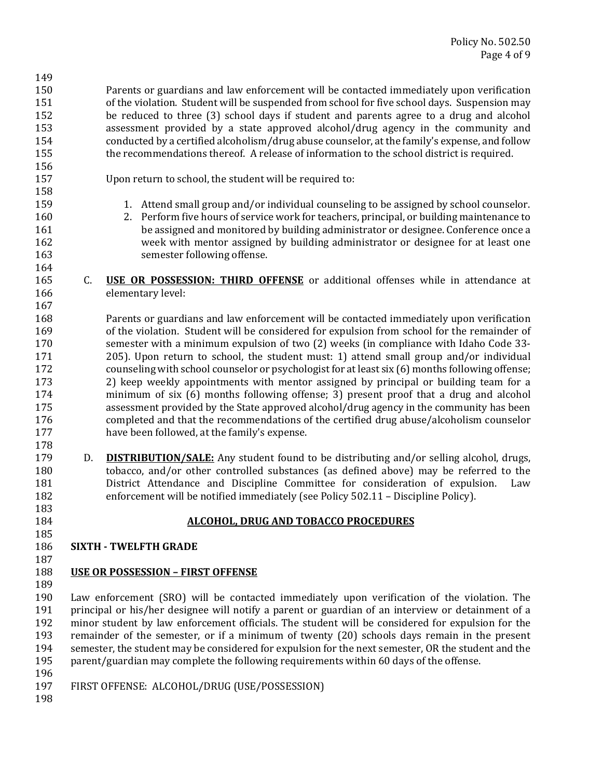150 Parents or guardians and law enforcement will be contacted immediately upon verification 151 of the violation. Student will be suspended from school for five school days. Suspension may 152 be reduced to three (3) school days if student and parents agree to a drug and alcohol 153 assessment provided by a state approved alcohol/drug agency in the community and 154 conducted by a certified alcoholism/drug abuse counselor, at the family's expense, and follow 155 **the recommendations thereof.** A release of information to the school district is required.

156 

158 

164 

167 

178 

183 

185 

149 

157 Upon return to school, the student will be required to:

- 159 1. Attend small group and/or individual counseling to be assigned by school counselor.
- 160 2. Perform five hours of service work for teachers, principal, or building maintenance to 161 be assigned and monitored by building administrator or designee. Conference once a 162 week with mentor assigned by building administrator or designee for at least one 163 semester following offense.
- **165** C. **USE OR POSSESSION: THIRD OFFENSE** or additional offenses while in attendance at 166 elementary level:

168 Parents or guardians and law enforcement will be contacted immediately upon verification 169 of the violation. Student will be considered for expulsion from school for the remainder of 170 semester with a minimum expulsion of two (2) weeks (in compliance with Idaho Code 33-171 205). Upon return to school, the student must: 1) attend small group and/or individual 172 counseling with school counselor or psychologist for at least six (6) months following offense; 173 2) keep weekly appointments with mentor assigned by principal or building team for a 174 minimum of six (6) months following offense; 3) present proof that a drug and alcohol 175 assessment provided by the State approved alcohol/drug agency in the community has been 176 completed and that the recommendations of the certified drug abuse/alcoholism counselor 177 have been followed, at the family's expense.

179 D. **DISTRIBUTION/SALE:** Any student found to be distributing and/or selling alcohol, drugs, 180 tobacco, and/or other controlled substances (as defined above) may be referred to the 181 **District Attendance and Discipline Committee for consideration of expulsion.** Law 182 enforcement will be notified immediately (see Policy 502.11 – Discipline Policy).

# 184 **ALCOHOL, DRUG AND TOBACCO PROCEDURES**

**186 SIXTH - TWELFTH GRADE** 

#### 187 188 **USE OR POSSESSION – FIRST OFFENSE**

189 

190 Law enforcement (SRO) will be contacted immediately upon verification of the violation. The 191 principal or his/her designee will notify a parent or guardian of an interview or detainment of a 192 minor student by law enforcement officials. The student will be considered for expulsion for the 193 remainder of the semester, or if a minimum of twenty (20) schools days remain in the present 194 semester, the student may be considered for expulsion for the next semester, OR the student and the 195 parent/guardian may complete the following requirements within 60 days of the offense. 196 

- 197 FIRST OFFENSE: ALCOHOL/DRUG (USE/POSSESSION)
- 198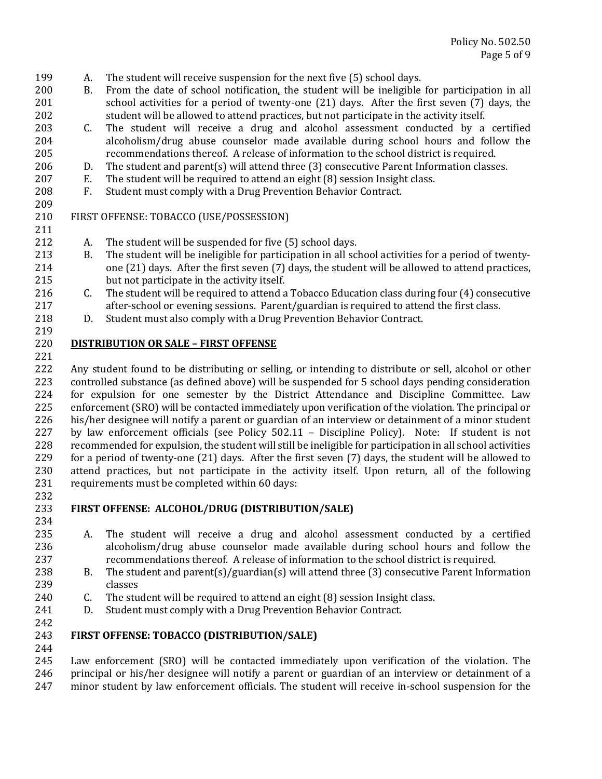- 199 A. The student will receive suspension for the next five (5) school days.
- 200 B. From the date of school notification, the student will be ineligible for participation in all 201 school activities for a period of twenty-one (21) days. After the first seven (7) days, the 202 student will be allowed to attend practices, but not participate in the activity itself.
- 203 C. The student will receive a drug and alcohol assessment conducted by a certified 204 alcoholism/drug abuse counselor made available during school hours and follow the 205 recommendations thereof. A release of information to the school district is required.
- 206 D. The student and parent(s) will attend three  $(3)$  consecutive Parent Information classes.
- 207 E. The student will be required to attend an eight (8) session Insight class.
- 208 F. Student must comply with a Drug Prevention Behavior Contract.

#### 210 FIRST OFFENSE: TOBACCO (USE/POSSESSION)

- 212 A. The student will be suspended for five (5) school days.
- 213 B. The student will be ineligible for participation in all school activities for a period of twenty-214 one (21) days. After the first seven (7) days, the student will be allowed to attend practices, 215 but not participate in the activity itself.
- 216 C. The student will be required to attend a Tobacco Education class during four (4) consecutive 217 **after-school or evening sessions.** Parent/guardian is required to attend the first class.
- 218 D. Student must also comply with a Drug Prevention Behavior Contract.

#### 220 **DISTRIBUTION OR SALE – FIRST OFFENSE**

221 

219 

209 

211 

222 Any student found to be distributing or selling, or intending to distribute or sell, alcohol or other 223 controlled substance (as defined above) will be suspended for 5 school days pending consideration 224 for expulsion for one semester by the District Attendance and Discipline Committee. Law 225 enforcement (SRO) will be contacted immediately upon verification of the violation. The principal or 226 his/her designee will notify a parent or guardian of an interview or detainment of a minor student 227 by law enforcement officials (see Policy  $502.11$  – Discipline Policy). Note: If student is not 228 recommended for expulsion, the student will still be ineligible for participation in all school activities 229 for a period of twenty-one  $(21)$  days. After the first seven  $(7)$  days, the student will be allowed to 230 attend practices, but not participate in the activity itself. Upon return, all of the following 231 requirements must be completed within 60 days:

232 

234 

# 233 **FIRST OFFENSE: ALCOHOL/DRUG (DISTRIBUTION/SALE)**

- 235 A. The student will receive a drug and alcohol assessment conducted by a certified 236 alcoholism/drug abuse counselor made available during school hours and follow the 237 recommendations thereof. A release of information to the school district is required.
- 238 B. The student and parent(s)/guardian(s) will attend three (3) consecutive Parent Information 239 classes
- 240  $\therefore$  C. The student will be required to attend an eight (8) session Insight class.
- 241 D. Student must comply with a Drug Prevention Behavior Contract.
- 242

244 

# 243 **FIRST OFFENSE: TOBACCO (DISTRIBUTION/SALE)**

245 Law enforcement (SRO) will be contacted immediately upon verification of the violation. The 246 principal or his/her designee will notify a parent or guardian of an interview or detainment of a 247 minor student by law enforcement officials. The student will receive in-school suspension for the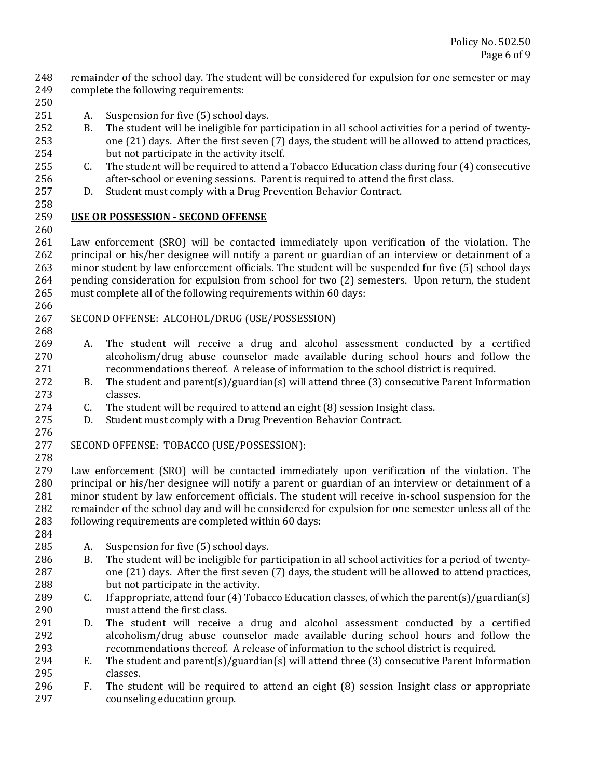248 remainder of the school day. The student will be considered for expulsion for one semester or may 249 complete the following requirements:

250 

258 

260 

266 

268 

- 251 A. Suspension for five (5) school days.
- 252 B. The student will be ineligible for participation in all school activities for a period of twenty-253 one (21) days. After the first seven (7) days, the student will be allowed to attend practices, 254 but not participate in the activity itself.
- 255 C. The student will be required to attend a Tobacco Education class during four (4) consecutive 256 after-school or evening sessions. Parent is required to attend the first class.
- 257 D. Student must comply with a Drug Prevention Behavior Contract.

### 259 **USE OR POSSESSION ‐ SECOND OFFENSE**

261 Law enforcement (SRO) will be contacted immediately upon verification of the violation. The 262 principal or his/her designee will notify a parent or guardian of an interview or detainment of a 263 minor student by law enforcement officials. The student will be suspended for five (5) school days 264 pending consideration for expulsion from school for two (2) semesters. Upon return, the student 265 must complete all of the following requirements within 60 days:

### 267 SECOND OFFENSE: ALCOHOL/DRUG (USE/POSSESSION)

- 269 A. The student will receive a drug and alcohol assessment conducted by a certified 270 alcoholism/drug abuse counselor made available during school hours and follow the 271 recommendations thereof. A release of information to the school district is required.
- 272 B. The student and parent(s)/guardian(s) will attend three (3) consecutive Parent Information 273 classes.
- $274$  C. The student will be required to attend an eight  $(8)$  session Insight class.
- 275 D. Student must comply with a Drug Prevention Behavior Contract.
- 276

278 

277 SECOND OFFENSE: TOBACCO (USE/POSSESSION):

- 279 Law enforcement (SRO) will be contacted immediately upon verification of the violation. The 280 principal or his/her designee will notify a parent or guardian of an interview or detainment of a 281 minor student by law enforcement officials. The student will receive in-school suspension for the 282 remainder of the school day and will be considered for expulsion for one semester unless all of the 283 following requirements are completed within 60 days:
- 284 285 A. Suspension for five (5) school days.
- 286 B. The student will be ineligible for participation in all school activities for a period of twenty-287 one (21) days. After the first seven (7) days, the student will be allowed to attend practices, 288 but not participate in the activity.
- 289 C. If appropriate, attend four  $(4)$  Tobacco Education classes, of which the parent(s)/guardian(s) 290 must attend the first class.
- 291 D. The student will receive a drug and alcohol assessment conducted by a certified 292 alcoholism/drug abuse counselor made available during school hours and follow the 293 recommendations thereof. A release of information to the school district is required.
- 294 E. The student and parent(s)/guardian(s) will attend three  $(3)$  consecutive Parent Information 295 classes.
- 296 F. The student will be required to attend an eight (8) session Insight class or appropriate 297 counseling education group.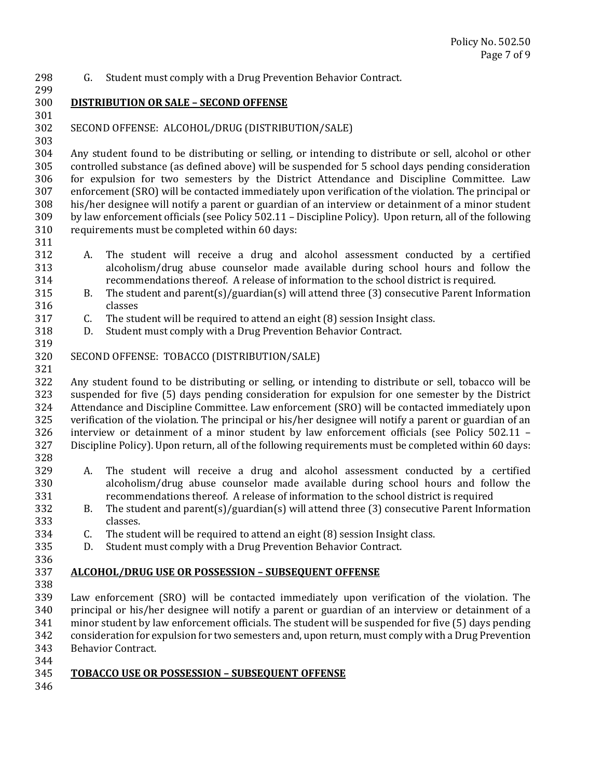- 298 G. Student must comply with a Drug Prevention Behavior Contract.
- 299

301 

303 

300 **DISTRIBUTION OR SALE – SECOND OFFENSE**

302 SECOND OFFENSE: ALCOHOL/DRUG (DISTRIBUTION/SALE)

304 Any student found to be distributing or selling, or intending to distribute or sell, alcohol or other 305 controlled substance (as defined above) will be suspended for 5 school days pending consideration 306 for expulsion for two semesters by the District Attendance and Discipline Committee. Law 307 enforcement (SRO) will be contacted immediately upon verification of the violation. The principal or 308 his/her designee will notify a parent or guardian of an interview or detainment of a minor student 309 by law enforcement officials (see Policy 502.11 – Discipline Policy). Upon return, all of the following 310 requirements must be completed within 60 days:

311 

319 

321 

- 312 A. The student will receive a drug and alcohol assessment conducted by a certified 313 alcoholism/drug abuse counselor made available during school hours and follow the 314 recommendations thereof. A release of information to the school district is required.
- 315 B. The student and parent(s)/guardian(s) will attend three (3) consecutive Parent Information 316 classes
- $317$  C. The student will be required to attend an eight  $(8)$  session Insight class.
- 318 D. Student must comply with a Drug Prevention Behavior Contract.
- 320 SECOND OFFENSE: TOBACCO (DISTRIBUTION/SALE)

322 Any student found to be distributing or selling, or intending to distribute or sell, tobacco will be 323 suspended for five (5) days pending consideration for expulsion for one semester by the District 324 Attendance and Discipline Committee. Law enforcement (SRO) will be contacted immediately upon 325 verification of the violation. The principal or his/her designee will notify a parent or guardian of an 326 interview or detainment of a minor student by law enforcement officials (see Policy 502.11 -327 Discipline Policy). Upon return, all of the following requirements must be completed within 60 days:

- 328
- 329 A. The student will receive a drug and alcohol assessment conducted by a certified 330 alcoholism/drug abuse counselor made available during school hours and follow the 331 recommendations thereof. A release of information to the school district is required
- 332 B. The student and parent(s)/guardian(s) will attend three (3) consecutive Parent Information 333 classes.
- $334$  C. The student will be required to attend an eight  $(8)$  session Insight class.
- 335 D. Student must comply with a Drug Prevention Behavior Contract.
- 336

#### 337 **ALCOHOL/DRUG USE OR POSSESSION – SUBSEQUENT OFFENSE**

338 

339 Law enforcement (SRO) will be contacted immediately upon verification of the violation. The  $340$  principal or his/her designee will notify a parent or guardian of an interview or detainment of a 341 minor student by law enforcement officials. The student will be suspended for five (5) days pending 342 consideration for expulsion for two semesters and, upon return, must comply with a Drug Prevention 343 Behavior Contract.

- 344 345 **TOBACCO USE OR POSSESSION – SUBSEQUENT OFFENSE**
- 346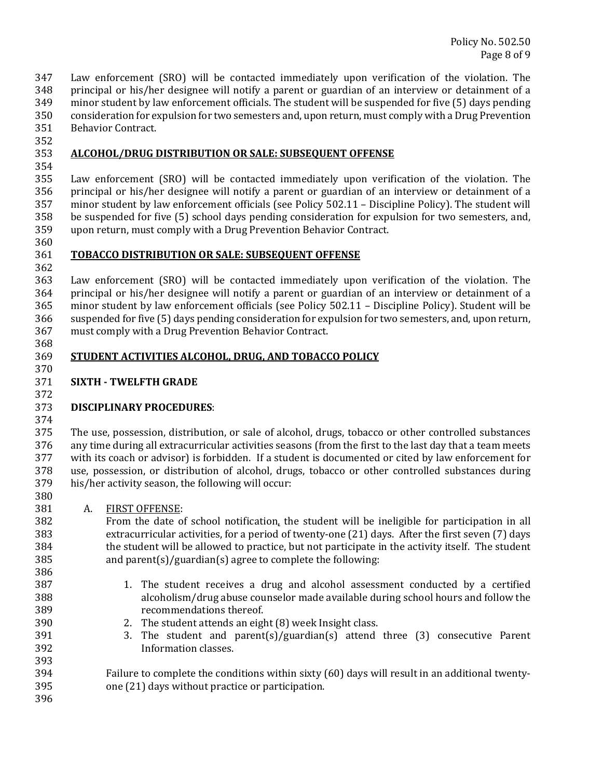347 Law enforcement (SRO) will be contacted immediately upon verification of the violation. The  $348$  principal or his/her designee will notify a parent or guardian of an interview or detainment of a 349 minor student by law enforcement officials. The student will be suspended for five (5) days pending 350 consideration for expulsion for two semesters and, upon return, must comply with a Drug Prevention 351 Behavior Contract.

352 

# 353 **ALCOHOL/DRUG DISTRIBUTION OR SALE: SUBSEQUENT OFFENSE**

354 

355 Law enforcement (SRO) will be contacted immediately upon verification of the violation. The  $356$  principal or his/her designee will notify a parent or guardian of an interview or detainment of a  $357$  minor student by law enforcement officials (see Policy  $502.11$  – Discipline Policy). The student will 358 be suspended for five (5) school days pending consideration for expulsion for two semesters, and, 359 upon return, must comply with a Drug Prevention Behavior Contract.

360 

### 361 **TOBACCO DISTRIBUTION OR SALE: SUBSEQUENT OFFENSE**

362 

363 Law enforcement (SRO) will be contacted immediately upon verification of the violation. The 364 principal or his/her designee will notify a parent or guardian of an interview or detainment of a 365 minor student by law enforcement officials (see Policy 502.11 – Discipline Policy). Student will be 366 suspended for five (5) days pending consideration for expulsion for two semesters, and, upon return, 367 must comply with a Drug Prevention Behavior Contract.

### 369 **STUDENT ACTIVITIES ALCOHOL, DRUG, AND TOBACCO POLICY**

### 371 **SIXTH ‐ TWELFTH GRADE**

# 373 **DISCIPLINARY PROCEDURES**:

374 

368 

370 

372 

375 The use, possession, distribution, or sale of alcohol, drugs, tobacco or other controlled substances 376 any time during all extracurricular activities seasons (from the first to the last day that a team meets 377 with its coach or advisor) is forbidden. If a student is documented or cited by law enforcement for 378 use, possession, or distribution of alcohol, drugs, tobacco or other controlled substances during 379 his/her activity season, the following will occur: 380 

381 A. FIRST OFFENSE:

382 From the date of school notification, the student will be ineligible for participation in all 383 extracurricular activities, for a period of twenty-one  $(21)$  days. After the first seven  $(7)$  days 384 the student will be allowed to practice, but not participate in the activity itself. The student 385 and parent(s)/guardian(s) agree to complete the following:

- 387 1. The student receives a drug and alcohol assessment conducted by a certified 388 alcoholism/drug abuse counselor made available during school hours and follow the 389 recommendations thereof.
- 390 2. The student attends an eight (8) week Insight class.
- $391$  3. The student and parent(s)/guardian(s) attend three (3) consecutive Parent 392 Information classes.

394 Failure to complete the conditions within sixty (60) days will result in an additional twenty-395 one (21) days without practice or participation.

396 

393 

386